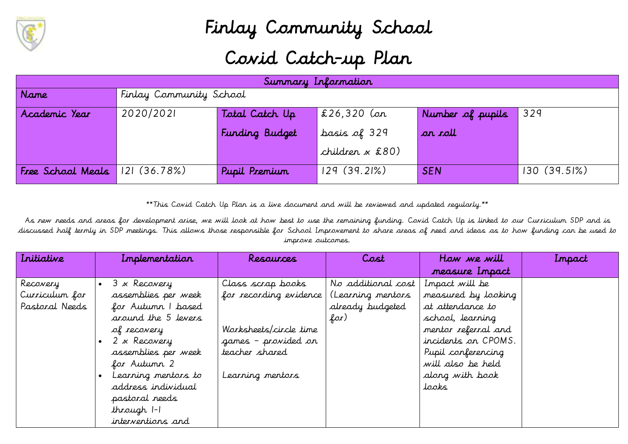

## Finlay Community School Covid Catch-up Plan

| Summary Information |                         |                |                     |                  |               |
|---------------------|-------------------------|----------------|---------------------|------------------|---------------|
| Name                | Finlay Community School |                |                     |                  |               |
| Academic Year       | 2020/2021               | Total Catch Up | $\vert$ £26,320 (or | Number of pupils | 329           |
|                     |                         | Funding Budget | basis of 329        | ar roll          |               |
|                     |                         |                | children x £80)     |                  |               |
| Free School Meals   | 121(36.78%)             | Pupil Premium  | 129(39.21%)         | <b>SEN</b>       | $130(39.5\%)$ |

\*\*This Covid Catch Up Plan is a live document and will be reviewed and updated regularly.\*\*

As new needs and areas for development arise, we will look at how best to use the remaining funding. Covid Catch Up is linked to our Curriculum SDP and is discussed half termly in SDP meetings. This allows those responsible for School Improvement to share areas of need and ideas as to how funding can be used to improve outcomes.

| Iritiative     | Implementation            | Resources              | Cost               | How we will         | Impact |
|----------------|---------------------------|------------------------|--------------------|---------------------|--------|
|                |                           |                        |                    | measure Impact      |        |
| Recovery       | 3 x Recovery<br>$\bullet$ | Class scrap books      | No additional cost | Impact will be      |        |
| Curriculum for | assemblies per week       | for recording evidence | (Learning mentors  | measured by looking |        |
| Pastoral Needs | for Autumn I based        |                        | already budgeted   | at attendance to    |        |
|                | around the 5 levers       |                        | for)               | school, learning    |        |
|                | of recovery               | Worksheets/circle time |                    | mentor referral and |        |
|                | 2 x Recovery              | games - provided on    |                    | incidents on CPOMS. |        |
|                | assemblies per week       | teacher shared         |                    | Pupil conferencing  |        |
|                | for Autumn 2              |                        |                    | will also be held   |        |
|                | Learning mentors to       | Learning mentors       |                    | along with book     |        |
|                | address individual        |                        |                    | tooks               |        |
|                | pastoral needs            |                        |                    |                     |        |
|                | through 1-1               |                        |                    |                     |        |
|                | interventions and         |                        |                    |                     |        |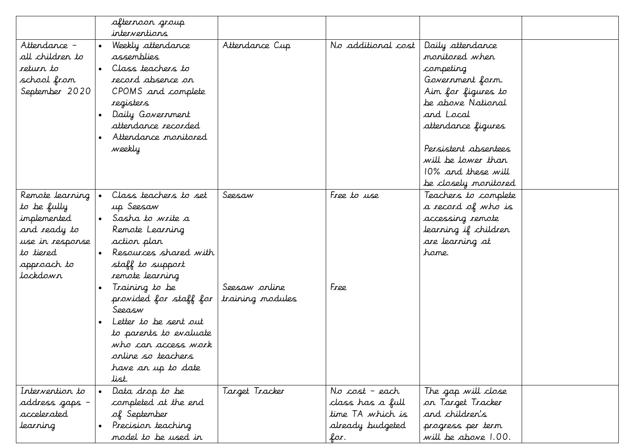|                                                                                                                          | afternoon group<br>interventions                                                                                                                                                                                                                                                                                                              |                                             |                                                                                    |                                                                                                                                                                                                                                               |
|--------------------------------------------------------------------------------------------------------------------------|-----------------------------------------------------------------------------------------------------------------------------------------------------------------------------------------------------------------------------------------------------------------------------------------------------------------------------------------------|---------------------------------------------|------------------------------------------------------------------------------------|-----------------------------------------------------------------------------------------------------------------------------------------------------------------------------------------------------------------------------------------------|
| Attendance -<br>all children to<br>return to<br>school from<br>September 2020                                            | Weekly attendance<br>assemblies<br>Class teachers to<br>record absence on<br>CPOMS and complete<br>registers<br>Daily Government<br>attendance recorded<br>Attendance monitored<br>weekly                                                                                                                                                     | Attendance Cup                              | No additional cost                                                                 | Daily attendance<br>monitored when<br>competing<br>Government form.<br>Aim for figures to<br>be above National<br>and Local<br>attendance figures<br>Persistent absentees<br>will be lower than<br>10% and these will<br>be closely monitored |
| Remote learning<br>to be fully<br>implemented<br>and ready to<br>use in response<br>to tiered<br>approach to<br>tockdowr | Class teachers to set<br>up Seesaw<br>Sasha to write a<br>Remote Learning<br>action plan<br>Resources shared with<br>staff to support<br>remote learning<br>Training to be<br>provided for staff for<br>Seeasw<br>Letter to be sent out<br>to parents to evaluate<br>who can access work<br>online so teachers<br>have an up to date<br>list. | Seesaw<br>Seesaw online<br>training modules | Free to use<br>Free                                                                | Teachers to complete<br>a record of who is<br>accessing remote<br>learning if children<br>are learning at<br>home.                                                                                                                            |
| Intervention to<br>address gaps –<br>accelerated<br>learning                                                             | Data drop to be<br>completed at the end<br>of September<br>Precision teaching<br>model to be used in                                                                                                                                                                                                                                          | Target Tracker                              | No cost – each<br>class has a full<br>time TA which is<br>already budgeted<br>for. | The gap will close<br>on Target Tracker<br>and children's<br>progress per term<br>will be above 1.00.                                                                                                                                         |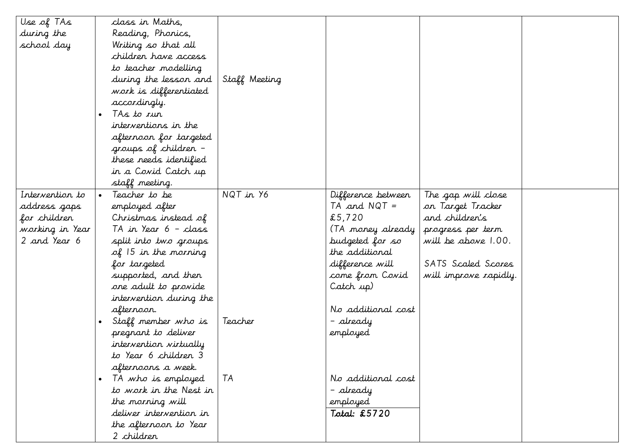| Use of TAs      |           | class in Maths,                 |               |                    |                       |  |
|-----------------|-----------|---------------------------------|---------------|--------------------|-----------------------|--|
| during the      |           | Reading, Phonics,               |               |                    |                       |  |
| school day      |           | Writing so that all             |               |                    |                       |  |
|                 |           | children have access            |               |                    |                       |  |
|                 |           | to teacher modelling            |               |                    |                       |  |
|                 |           | during the lesson and           | Staff Meeting |                    |                       |  |
|                 |           | work is differentiated          |               |                    |                       |  |
|                 |           | accordingly.                    |               |                    |                       |  |
|                 | $\bullet$ | TAs to run                      |               |                    |                       |  |
|                 |           | interventions in the            |               |                    |                       |  |
|                 |           | afternoon for targeted          |               |                    |                       |  |
|                 |           | groups of children -            |               |                    |                       |  |
|                 |           | these needs identified          |               |                    |                       |  |
|                 |           | in a Covid Catch up             |               |                    |                       |  |
|                 |           | staff meeting.                  |               |                    |                       |  |
| Intervention to |           | Teacher to be                   | NQT in Y6     | Difference between | The gap will close    |  |
| address gaps    |           | employed after                  |               | $TA$ and $NQT =$   | on Target Tracker     |  |
| for children    |           | Christmas instead of            |               | £5,720             | and children's        |  |
| working in Year |           | TA in Year 6 - class            |               | (TA money already  | progress per term     |  |
| 2 and Year 6    |           | split into two groups           |               | budgeted for so    | will be above 1.00.   |  |
|                 |           | $\mathcal{A}$ 15 in the morning |               | the additional     |                       |  |
|                 |           | for targeted                    |               | difference will    | SATS Scaled Scores    |  |
|                 |           | supported, and then             |               | come from Covid    | will improve rapidly. |  |
|                 |           | one adult to provide            |               | Catch up)          |                       |  |
|                 |           | intervention during the         |               |                    |                       |  |
|                 |           | afternoon.                      |               | No additional cost |                       |  |
|                 |           | Staff member who is             | Teacher       | – already          |                       |  |
|                 |           | pregnant to deliver             |               | employed           |                       |  |
|                 |           | intervention virtually          |               |                    |                       |  |
|                 |           | to Year 6 children 3            |               |                    |                       |  |
|                 |           | afternoons a week.              |               |                    |                       |  |
|                 |           | TA who is employed              | TA            | No additional cost |                       |  |
|                 |           | to work in the Nest in          |               | – already          |                       |  |
|                 |           | the morning will                |               | employed           |                       |  |
|                 |           | deliver intervention in         |               | Total: £5720       |                       |  |
|                 |           | the afternoon to Year           |               |                    |                       |  |
|                 |           | 2 children                      |               |                    |                       |  |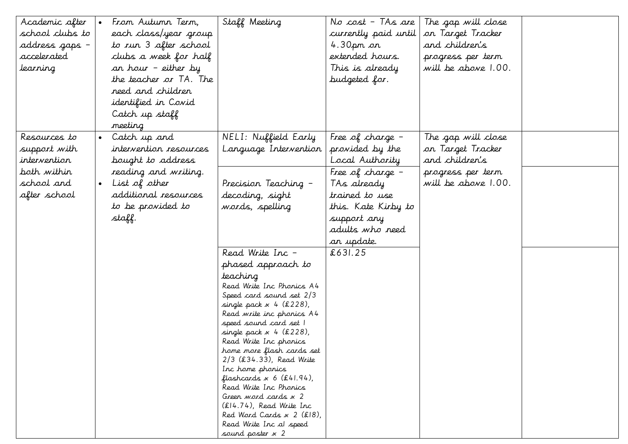| Academic after  | From Autunn Term,          | Staff Meeting                                           | No cost - TAs are    | The gap will close  |  |
|-----------------|----------------------------|---------------------------------------------------------|----------------------|---------------------|--|
| school clubs to | each class/year group      |                                                         | currently paid until | on Target Tracker   |  |
| address gaps –  | to run 3 after school      |                                                         | 4.30 $\rho$ m on     | and children's      |  |
| accelerated     | clubs a week for half      |                                                         | extended hours.      |                     |  |
|                 |                            |                                                         |                      | progress per term   |  |
| learning        | an hour - either by        |                                                         | This is already      | will be above 1.00. |  |
|                 | the teacher or TA. The     |                                                         | budgeted for.        |                     |  |
|                 | reed and children          |                                                         |                      |                     |  |
|                 | <i>identified in Covid</i> |                                                         |                      |                     |  |
|                 | Catch up staff             |                                                         |                      |                     |  |
|                 | meeting                    |                                                         |                      |                     |  |
| Resources to    | • Catch up and             | NELI: Nuffield Early                                    | Free of charge $-$   | The gap will close  |  |
| support with    | intervention resources     | Language Intervention                                   | provided by the      | on Target Tracker   |  |
| intervention    | bought to address          |                                                         | Local Authority      | and children's      |  |
| both within     | reading and writing.       |                                                         | Free of charge $-$   | progress per term   |  |
| school and      | List of other              | Precision Teaching -                                    | TAs already          | will be above 1.00. |  |
| after school    | additional resources       | decoding, sight                                         | trained to use       |                     |  |
|                 | to be provided to          | words, spelling                                         | this. Kate Kirby to  |                     |  |
|                 | staff.                     |                                                         | support any          |                     |  |
|                 |                            |                                                         | adults who reed      |                     |  |
|                 |                            |                                                         | an update.           |                     |  |
|                 |                            | Read Write Inc -                                        | £631.25              |                     |  |
|                 |                            |                                                         |                      |                     |  |
|                 |                            | phased approach to                                      |                      |                     |  |
|                 |                            | teaching                                                |                      |                     |  |
|                 |                            | Read Write Inc Phonics A4<br>Speed card sound set 2/3   |                      |                     |  |
|                 |                            | single pack $x$ 4 (£228),                               |                      |                     |  |
|                 |                            | Read write inc phonics A4                               |                      |                     |  |
|                 |                            | speed sound card set 1                                  |                      |                     |  |
|                 |                            | $single$ pack $x$ 4 (£228),                             |                      |                     |  |
|                 |                            | Read Write Inc phonics                                  |                      |                     |  |
|                 |                            | home more flash cards set<br>$2/3$ (£34.33), Read Write |                      |                     |  |
|                 |                            | Inc home phonics                                        |                      |                     |  |
|                 |                            | flashcards $x 6$ (£41.94),                              |                      |                     |  |
|                 |                            | Read Write Inc Phonics                                  |                      |                     |  |
|                 |                            | Green word cards x 2                                    |                      |                     |  |
|                 |                            | (£14.74), Read Write Inc                                |                      |                     |  |
|                 |                            | Red Word Cards $x$ 2 (£18),                             |                      |                     |  |
|                 |                            | Read Write Inc al speed<br>sound poster $x$ 2           |                      |                     |  |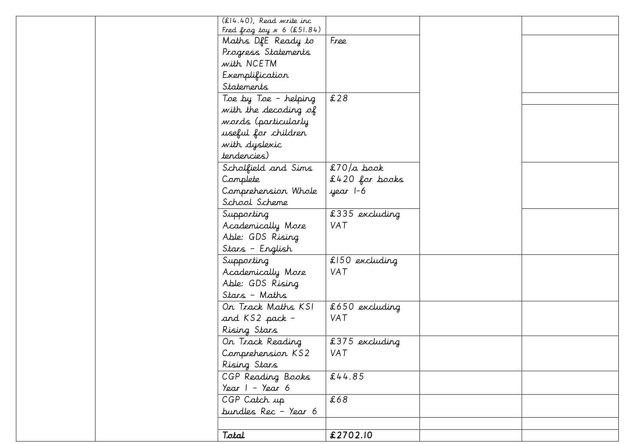|  | $(E14.40)$ , Read write inc<br>Fred frog toy $x 6$ (£51.84) |                  |  |
|--|-------------------------------------------------------------|------------------|--|
|  | Maths DfE Ready to                                          | Free             |  |
|  | Progress Statements                                         |                  |  |
|  | with NCETM                                                  |                  |  |
|  | Exemplification                                             |                  |  |
|  | Statements                                                  |                  |  |
|  | Toe by Toe - helping                                        | £28              |  |
|  | with the decoding of                                        |                  |  |
|  | words (particularly                                         |                  |  |
|  | useful for children                                         |                  |  |
|  | with dyslexic                                               |                  |  |
|  | tendencies)                                                 |                  |  |
|  | Scholfield and Sims                                         | $$70/a$ book     |  |
|  | Complete                                                    | $£420$ for books |  |
|  | Comprehension Whole                                         | year 1-6         |  |
|  | School Scheme                                               |                  |  |
|  | Supporting                                                  | £335 excluding   |  |
|  | Academically More                                           | VAT              |  |
|  | Able: GDS Rising                                            |                  |  |
|  | Stars - English                                             |                  |  |
|  | Supporting                                                  | $£150$ excluding |  |
|  | Academically More                                           | VAT              |  |
|  | Able: GDS Rising                                            |                  |  |
|  | Stars - Maths                                               |                  |  |
|  | On Track Maths KSI                                          | £650 excluding   |  |
|  | and KS2 pack -                                              | VAT              |  |
|  | Rising Stars                                                |                  |  |
|  | On Track Reading                                            | £375 excluding   |  |
|  | Comprehension KS2                                           | VAT              |  |
|  | Rising Stars                                                |                  |  |
|  | CGP Reading Books                                           | £44.85           |  |
|  | Year $1 -$ Year 6                                           |                  |  |
|  | CGP Catch up                                                | £68              |  |
|  | bundles Rec - Year 6                                        |                  |  |
|  |                                                             |                  |  |
|  | Total                                                       | £2702.10         |  |